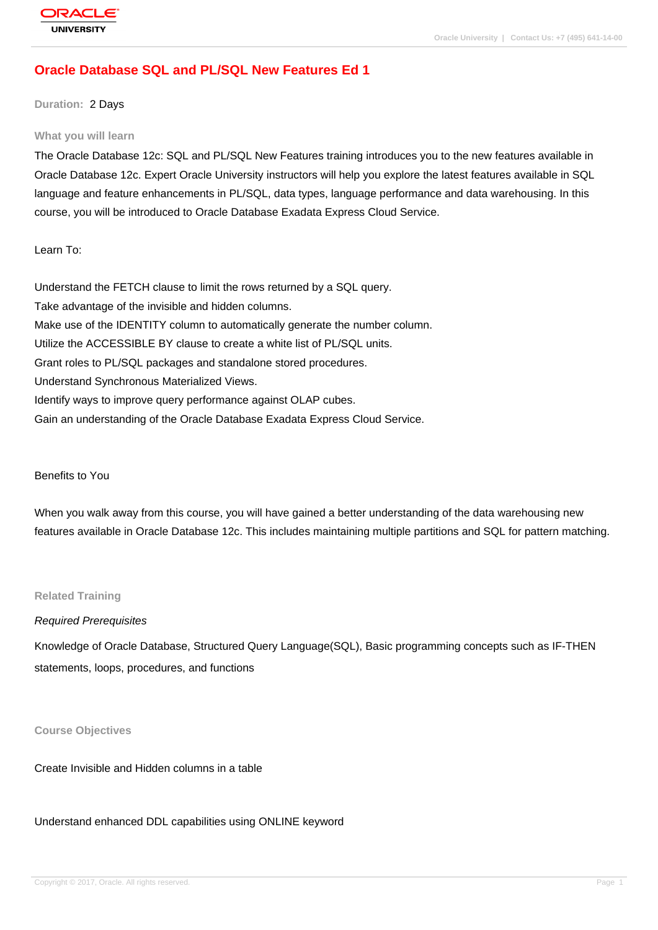# **[Oracle Databas](http://education.oracle.com/pls/web_prod-plq-dad/db_pages.getpage?page_id=3)e SQL and PL/SQL New Features Ed 1**

**Duration:** 2 Days

#### **What you will learn**

The Oracle Database 12c: SQL and PL/SQL New Features training introduces you to the new features available in Oracle Database 12c. Expert Oracle University instructors will help you explore the latest features available in SQL language and feature enhancements in PL/SQL, data types, language performance and data warehousing. In this course, you will be introduced to Oracle Database Exadata Express Cloud Service.

Learn To:

Understand the FETCH clause to limit the rows returned by a SQL query. Take advantage of the invisible and hidden columns. Make use of the IDENTITY column to automatically generate the number column. Utilize the ACCESSIBLE BY clause to create a white list of PL/SQL units. Grant roles to PL/SQL packages and standalone stored procedures. Understand Synchronous Materialized Views. Identify ways to improve query performance against OLAP cubes. Gain an understanding of the Oracle Database Exadata Express Cloud Service.

#### Benefits to You

When you walk away from this course, you will have gained a better understanding of the data warehousing new features available in Oracle Database 12c. This includes maintaining multiple partitions and SQL for pattern matching.

### **Related Training**

#### Required Prerequisites

Knowledge of Oracle Database, Structured Query Language(SQL), Basic programming concepts such as IF-THEN statements, loops, procedures, and functions

**Course Objectives**

Create Invisible and Hidden columns in a table

Understand enhanced DDL capabilities using ONLINE keyword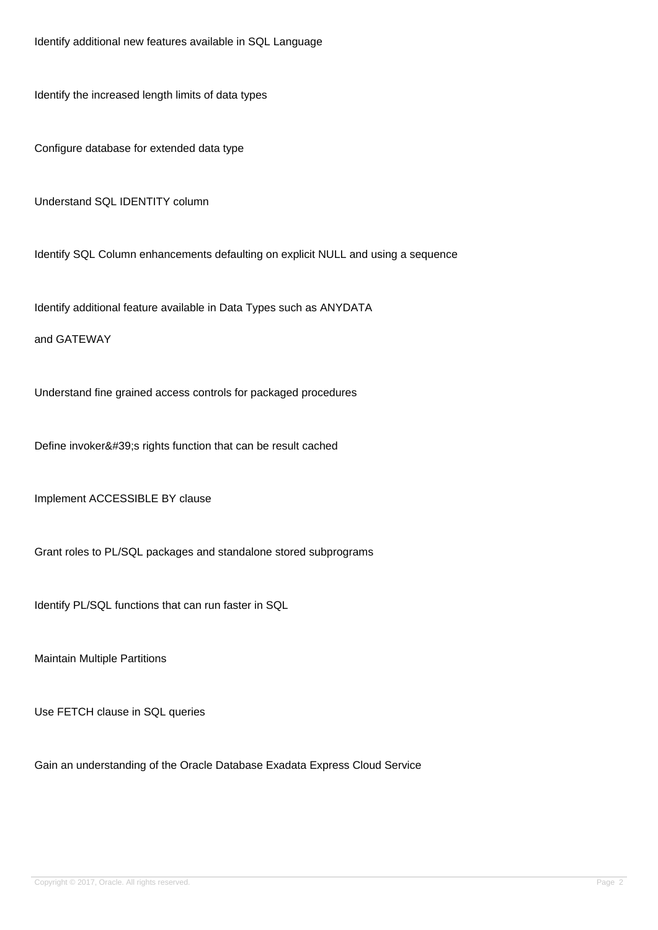Identify additional new features available in SQL Language

Identify the increased length limits of data types

Configure database for extended data type

Understand SQL IDENTITY column

Identify SQL Column enhancements defaulting on explicit NULL and using a sequence

Identify additional feature available in Data Types such as ANYDATA

and GATEWAY

Understand fine grained access controls for packaged procedures

Define invoker's rights function that can be result cached

Implement ACCESSIBLE BY clause

Grant roles to PL/SQL packages and standalone stored subprograms

Identify PL/SQL functions that can run faster in SQL

Maintain Multiple Partitions

Use FETCH clause in SQL queries

Gain an understanding of the Oracle Database Exadata Express Cloud Service